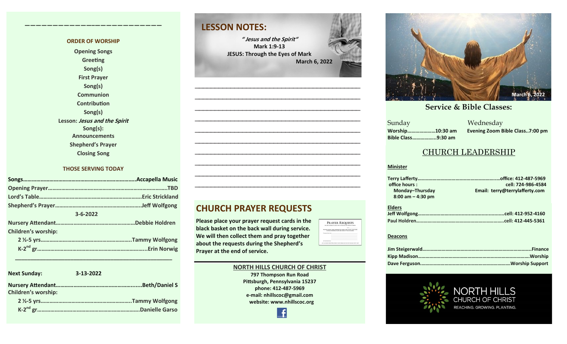#### **ORDER OF WORSHIP**

**————————————–————————————**

**Opening Songs Greeting Song(s) First Prayer Song(s) Communion Contribution Song(s) Lesson: Jesus and the Spirit Song(s): Announcements Shepherd's Prayer Closing Song**

#### **THOSE SERVING TODAY**

|                     | .TBD |
|---------------------|------|
|                     |      |
|                     |      |
| $3 - 6 - 2022$      |      |
|                     |      |
| Children's worship: |      |
|                     |      |
|                     |      |

 **\_\_\_\_\_\_\_\_\_\_\_\_\_\_\_\_\_\_\_\_\_\_\_\_\_\_\_\_\_\_\_\_\_\_\_\_\_\_\_\_\_\_\_\_\_\_\_\_\_\_\_**

| <b>Next Sunday:</b>        | 3-13-2022      |  |
|----------------------------|----------------|--|
| <b>Children's worship:</b> |                |  |
|                            |                |  |
|                            | Danielle Garso |  |

### **LESSON NOTES:**

**" Jesus and the Spirit" Mark 1:9-13 JESUS: Through the Eyes of Mark March 6, 2022**

**—————————————————————————————————————————— —————————————————————————————————————————— —————————————————————————————————————————— —————————————————————————————————————————— —————————————————————————————————————————— —————————————————————————————————————————— —————————————————————————————————————————— —————————————————————————————————————————— —————————————————————————————————————————— ——————————————————————————————————————————**



**Please place your prayer request cards in the black basket on the back wall during service. We will then collect them and pray together about the requests during the Shepherd's Prayer at the end of service.** 



#### **NORTH HILLS CHURCH OF CHRIST**

**797 Thompson Run Road Pittsburgh, Pennsylvania 15237 phone: 412-487-5969 e-mail: nhillscoc@gmail.com website: www.nhillscoc.org** 



#### **September 24, 2017 October 8, 2017 October 15, 2017 October 8, 2017 October 22, 2017 October 29, 2017 November 5, 2017 November 12, 2017 November 26, 2017 December 10, 2017 December 24, 2017 January 7, 2017 January 7, 2017 February 21, 2021**

a Mednesday<br>Sunday Mednesday **Sunday Bible Class……………...9:30 am**

**Worship…………………10:30 am Evening Zoom Bible Class..7:00 pm**

#### CHURCH LEADERSHIP

#### **Minister**

| office hours :       | cell: 724-986-4584             |
|----------------------|--------------------------------|
| Monday-Thursday      | Email: terry@terrylafferty.com |
| $8:00$ am $-4:30$ pm |                                |

| <b>Elders</b> |  |
|---------------|--|
|               |  |
|               |  |

#### **Deacons**